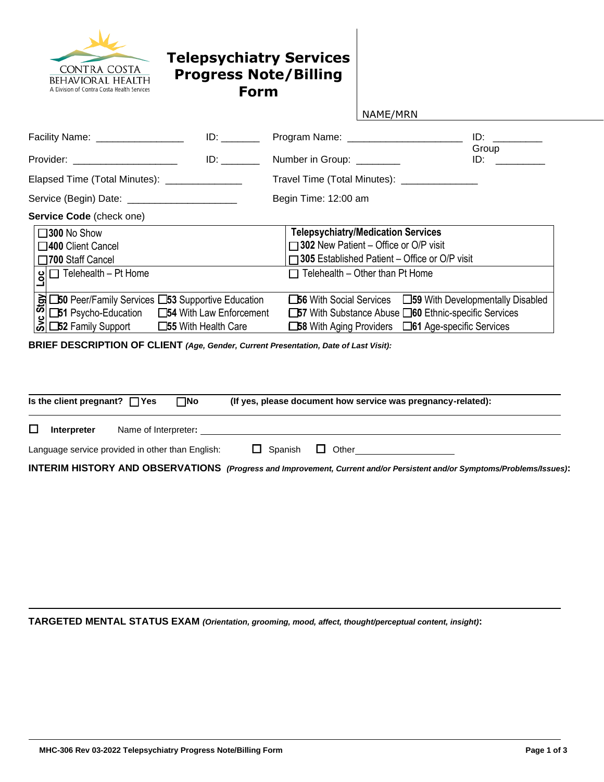

## **Telepsychiatry Services Progress Note/Billing Form**

| NAME/MRN |  |  |  |
|----------|--|--|--|
|          |  |  |  |

| Facility Name: __________________                                                                             |                                                             | $ID:$ $\Box$<br>Group                                                                                                                                                                                                         |
|---------------------------------------------------------------------------------------------------------------|-------------------------------------------------------------|-------------------------------------------------------------------------------------------------------------------------------------------------------------------------------------------------------------------------------|
| Provider: ______________________                                                                              | Number in Group: ________                                   | ID: Album and the state of the state of the state of the state of the state of the state of the state of the state of the state of the state of the state of the state of the state of the state of the state of the state of |
| Elapsed Time (Total Minutes): _______________                                                                 | Travel Time (Total Minutes): ______________                 |                                                                                                                                                                                                                               |
| Service (Begin) Date: _______________________                                                                 | Begin Time: 12:00 am                                        |                                                                                                                                                                                                                               |
| Service Code (check one)                                                                                      |                                                             |                                                                                                                                                                                                                               |
| $\square$ 300 No Show                                                                                         | <b>Telepsychiatry/Medication Services</b>                   |                                                                                                                                                                                                                               |
| □400 Client Cancel                                                                                            | □ 302 New Patient - Office or O/P visit                     |                                                                                                                                                                                                                               |
| □700 Staff Cancel                                                                                             | □305 Established Patient – Office or O/P visit              |                                                                                                                                                                                                                               |
| $g \Box$ Telehealth - Pt Home                                                                                 | $\Box$ Telehealth – Other than Pt Home                      |                                                                                                                                                                                                                               |
|                                                                                                               | □56 With Social Services □ 59 With Developmentally Disabled |                                                                                                                                                                                                                               |
| <b>B L50</b> Peer/Family Services L53 Supportive Education<br>C L51 Psycho-Education L54 With Law Enforcement | □57 With Substance Abuse □60 Ethnic-specific Services       |                                                                                                                                                                                                                               |
| ぷ □52 Family Support<br>□55 With Health Care                                                                  | □58 With Aging Providers □ 61 Age-specific Services         |                                                                                                                                                                                                                               |

**BRIEF DESCRIPTION OF CLIENT** *(Age, Gender, Current Presentation, Date of Last Visit):*

| Is the client pregnant? $\Box$ Yes | ⊐No                                              | (If yes, please document how service was pregnancy-related):                                                            |
|------------------------------------|--------------------------------------------------|-------------------------------------------------------------------------------------------------------------------------|
| Interpreter                        | Name of Interpreter:                             |                                                                                                                         |
|                                    | Language service provided in other than English: | $\Box$ Spanish $\Box$ Other                                                                                             |
|                                    |                                                  | INTERIM HISTORY AND OBSERVATIONS (Progress and Improvement, Current and/or Persistent and/or Symptoms/Problems/Issues): |

**TARGETED MENTAL STATUS EXAM** *(Orientation, grooming, mood, affect, thought/perceptual content, insight)***:**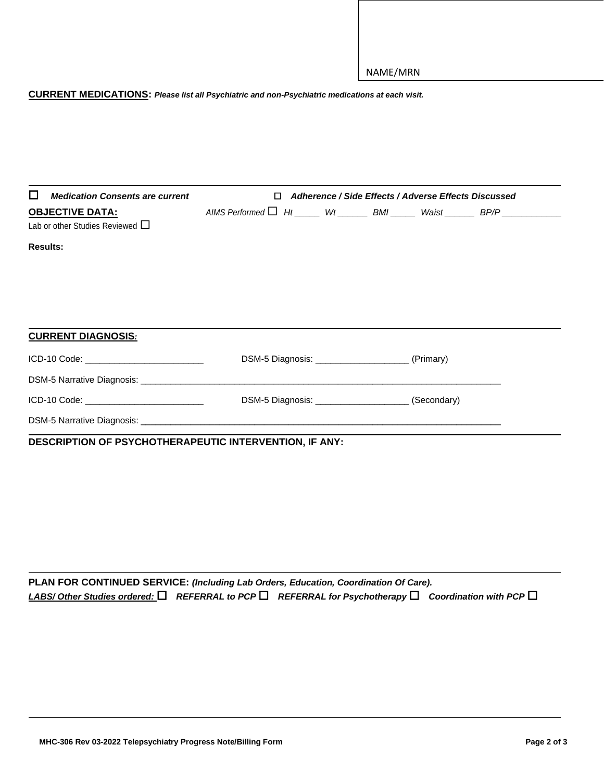## **CURRENT MEDICATIONS:** *Please list all Psychiatric and non-Psychiatric medications at each visit.*

| <b>Medication Consents are current</b><br>l 1                  | п. |                                                       | Adherence / Side Effects / Adverse Effects Discussed |                                                                                   |
|----------------------------------------------------------------|----|-------------------------------------------------------|------------------------------------------------------|-----------------------------------------------------------------------------------|
| <b>OBJECTIVE DATA:</b><br>Lab or other Studies Reviewed $\Box$ |    |                                                       |                                                      | AIMS Performed $\Box$ Ht _____ Wt ______ BMI _____ Waist ______ BP/P ____________ |
| <b>Results:</b>                                                |    |                                                       |                                                      |                                                                                   |
| <b>CURRENT DIAGNOSIS:</b>                                      |    |                                                       |                                                      |                                                                                   |
| ICD-10 Code: _____________________________                     |    |                                                       |                                                      |                                                                                   |
|                                                                |    |                                                       |                                                      |                                                                                   |
| ICD-10 Code: _____________________________                     |    | DSM-5 Diagnosis: _________________________(Secondary) |                                                      |                                                                                   |
|                                                                |    |                                                       |                                                      |                                                                                   |

**DESCRIPTION OF PSYCHOTHERAPEUTIC INTERVENTION, IF ANY:**

**PLAN FOR CONTINUED SERVICE:** *(Including Lab Orders, Education, Coordination Of Care). LABS/ Other Studies ordered:* *REFERRAL to PCP* *REFERRAL for Psychotherapy* *Coordination with PCP*